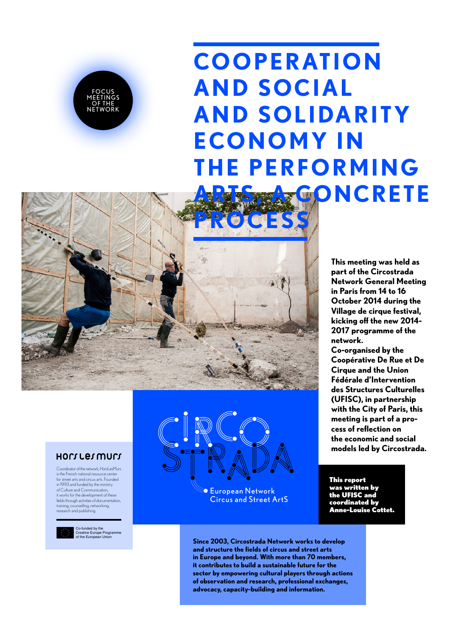

# **COOPERATION AND SOCIAL AND SOLIDARITY ECONOMY IN THE PERFORMING ARTS, A CONCRETE**



### **This meeting was held as part of the Circostrada Network General Meeting in Paris from 14 to 16 October 2014 during the Village de cirque festival, kicking off the new 2014- 2017 programme of the network.**

**Co-organised by the Coopérative De Rue et De Cirque and the Union Fédérale d'Intervention des Structures Culturelles (UFISC), in partnership with the City of Paris, this meeting is part of a process of reflection on the economic and social models led by Circostrada.**

This report was written the UFISC and coordinated by Anne-Louise Cottet.

### HOL1 LE1 WULL

Coordinator of the network, HorsLesMurs is the French national resource center for street arts and circus arts. Founded in 1993 and funded by the ministry of Culture and Communication, it works for the development of these fields through activities of documentation, training, counselling, networking, research and publishing.



Co-funded by the Creative Europe Programme of the European Union



European Network Circus and Street ArtS

**Since 2003, Circostrada Network works to develop and structure the fields of circus and street arts in Europe and beyond. With more than 70 members, it contributes to build a sustainable future for the sector by empowering cultural players through actions of observation and research, professional exchanges, advocacy, capacity-building and information.**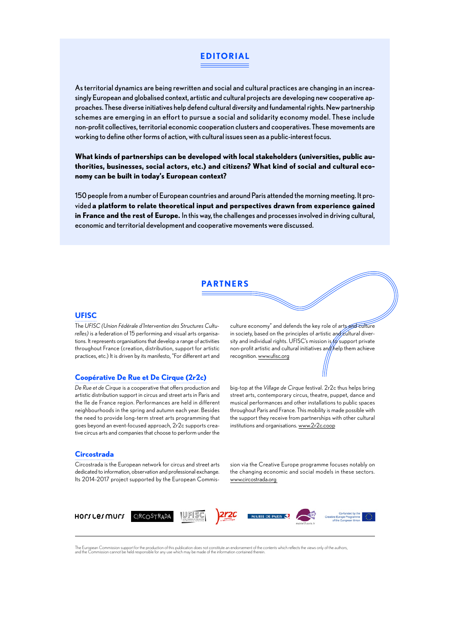### **EDITORIAL**

As territorial dynamics are being rewritten and social and cultural practices are changing in an increasingly European and globalised context, artistic and cultural projects are developing new cooperative approaches. These diverse initiatives help defend cultural diversity and fundamental rights. New partnership schemes are emerging in an effort to pursue a social and solidarity economy model. These include non-profit collectives, territorial economic cooperation clusters and cooperatives. These movements are working to define other forms of action, with cultural issues seen as a public-interest focus.

**What kinds of partnerships can be developed with local stakeholders (universities, public authorities, businesses, social actors, etc.) and citizens? What kind of social and cultural economy can be built in today's European context?**

150 people from a number of European countries and around Paris attended the morning meeting. It provided **a platform to relate theoretical input and perspectives drawn from experience gained in France and the rest of Europe.** In this way, the challenges and processes involved in driving cultural, economic and territorial development and cooperative movements were discussed.

### **PARTNERS**

#### **UFISC**

The *UFISC (Union Fédérale d'Intervention des Structures Culturelles)* is a federation of 15 performing and visual arts organisations. It represents organisations that develop a range of activities throughout France (creation, distribution, support for artistic practices, etc.) It is driven by its manifesto, "For different art and

#### **Coopérative De Rue et De Cirque (2r2c)**

*De Rue et de Cirque* is a cooperative that offers production and artistic distribution support in circus and street arts in Paris and the Ile de France region. Performances are held in different neighbourhoods in the spring and autumn each year. Besides the need to provide long-term street arts programming that goes beyond an event-focused approach, 2r2c supports creative circus arts and companies that choose to perform under the

#### **Circostrada**

Circostrada is the European network for circus and street arts dedicated to information, observation and professional exchange. Its 2014-2017 project supported by the European Commisculture economy" and defends the key role of arts and culture in society, based on the principles of artistic and cultural diversity and individual rights. UFISC's mission is to support private non-profit artistic and cultural initiatives and help them achieve recognition. www.ufisc.org

big-top at the *Village de Cirque* festival. 2r2c thus helps bring street arts, contemporary circus, theatre, puppet, dance and musical performances and other installations to public spaces throughout Paris and France. This mobility is made possible with the support they receive from partnerships with other cultural institutions and organisations. www.2r2c.coop

sion via the Creative Europe programme focuses notably on the changing economic and social models in these sectors. www.circostrada.org



The European Commission support for the production of this publication does not constitute an endorsement of the contents which reflects the views only of the authors,<br>and the Commission cannot be held responsible for any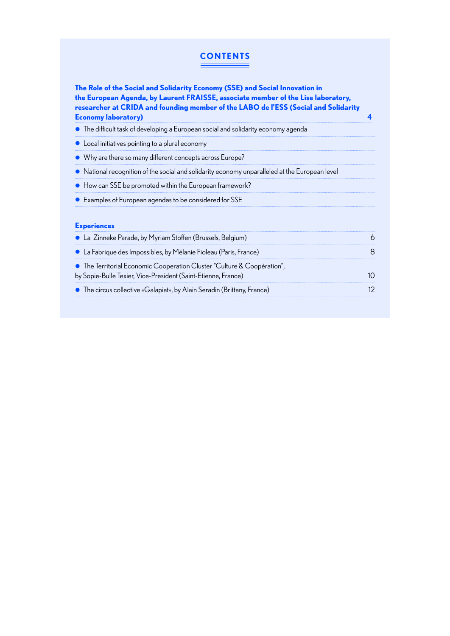### **CONTENTS**

**The Role of the Social and Solidarity Economy (SSE) and Social Innovation in the European Agenda, by Laurent FRAISSE, associate member of the Lise laboratory, researcher at CRIDA and founding member of the LABO de l'ESS (Social and Solidarity Economy laboratory) 4**

• The difficult task of developing a European social and solidarity economy agenda • Local initiatives pointing to a plural economy • Why are there so many different concepts across Europe? • National recognition of the social and solidarity economy unparalleled at the European level

• How can SSE be promoted within the European framework?

• Examples of European agendas to be considered for SSE

### **Experiences**

| • La Zinneke Parade, by Myriam Stoffen (Brussels, Belgium)<br>• La Fabrique des Impossibles, by Mélanie Fioleau (Paris, France) |  |
|---------------------------------------------------------------------------------------------------------------------------------|--|
|                                                                                                                                 |  |
| • The circus collective «Galapiat», by Alain Seradin (Brittany, France)                                                         |  |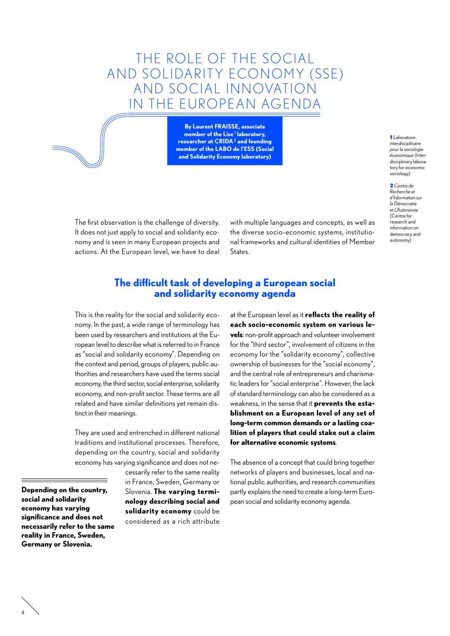## THE ROLE OF THE SOCIAL AND SOLIDARITY ECONOMY (SSE) AND SOCIAL INNOVATION IN THE EUROPEAN AGENDA

**By Laurent FRAISSE, associate**  member of the Lise<sup>1</sup> laboratory, **researcher at CRIDA<sup>2</sup> and founding member of the LABO de l'ESS (Social and Solidarity Economy laboratory)**

The first observation is the challenge of diversity. It does not just apply to social and solidarity economy and is seen in many European projects and actions. At the European level, we have to deal

with multiple languages and concepts, as well as the diverse socio-economic systems, institutional frameworks and cultural identities of Member States.

### **The difficult task of developing a European social and solidarity economy agenda**

This is the reality for the social and solidarity economy. In the past, a wide range of terminology has been used by researchers and institutions at the European level to describe what is referred to in France as "social and solidarity economy". Depending on the context and period, groups of players, public authorities and researchers have used the terms social economy, the third sector, social enterprise, solidarity economy, and non-profit sector. These terms are all related and have similar definitions yet remain distinct in their meanings.

They are used and entrenched in different national traditions and institutional processes. Therefore, depending on the country, social and solidarity economy has varying significance and does not ne-

**Depending on the country, social and solidarity economy has varying significance and does not necessarily refer to the same reality in France, Sweden, Germany or Slovenia.** 

4

cessarily refer to the same reality in France, Sweden, Germany or Slovenia. **The varying terminology describing social and solidarity economy** could be considered as a rich attribute

at the European level as it **reflects the reality of each socio-economic system on various levels**: non-profit approach and volunteer involvement for the "third sector", involvement of citizens in the economy for the "solidarity economy", collective ownership of businesses for the "social economy", and the central role of entrepreneurs and charismatic leaders for "social enterprise". However, the lack of standard terminology can also be considered as a weakness, in the sense that it **prevents the establishment on a European level of any set of long-term common demands or a lasting coalition of players that could stake out a claim for alternative economic systems**.

The absence of a concept that could bring together networks of players and businesses, local and national public authorities, and research communities partly explains the need to create a long-term European social and solidarity economy agenda.

1 *Laboratoire interdisciplinaire pour la sociologie économique* (Interdisciplinary laboratory for economic sociology)

2 *Centre de Recherche et d'Information sur la Démocratie et L'Autonomie* (Centre for research and information on democracy and autonomy)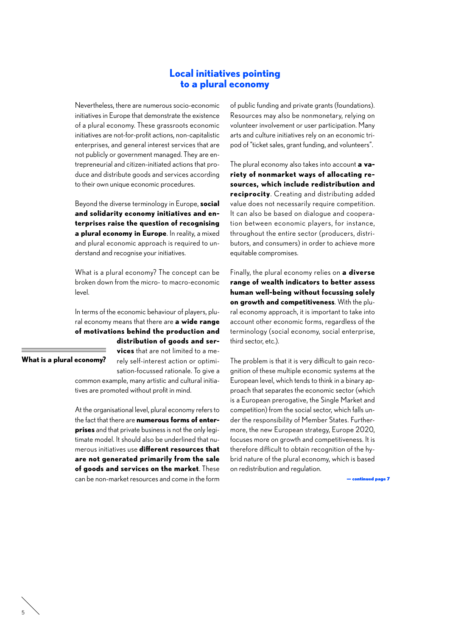### **Local initiatives pointing to a plural economy**

Nevertheless, there are numerous socio-economic initiatives in Europe that demonstrate the existence of a plural economy. These grassroots economic initiatives are not-for-profit actions, non-capitalistic enterprises, and general interest services that are not publicly or government managed. They are entrepreneurial and citizen-initiated actions that produce and distribute goods and services according to their own unique economic procedures.

Beyond the diverse terminology in Europe, **social and solidarity economy initiatives and enterprises raise the question of recognising a plural economy in Europe**. In reality, a mixed and plural economic approach is required to understand and recognise your initiatives.

What is a plural economy? The concept can be broken down from the micro- to macro-economic level.

In terms of the economic behaviour of players, plural economy means that there are **a wide range of motivations behind the production and** 

**What is a plural economy?**

**distribution of goods and services** that are not limited to a merely self-interest action or optimisation-focussed rationale. To give a

common example, many artistic and cultural initiatives are promoted without profit in mind.

At the organisational level, plural economy refers to the fact that there are **numerous forms of enterprises** and that private business is not the only legitimate model. It should also be underlined that numerous initiatives use **different resources that are not generated primarily from the sale of goods and services on the market**. These can be non-market resources and come in the form of public funding and private grants (foundations). Resources may also be nonmonetary, relying on volunteer involvement or user participation. Many arts and culture initiatives rely on an economic tripod of "ticket sales, grant funding, and volunteers".

The plural economy also takes into account **a variety of nonmarket ways of allocating resources, which include redistribution and reciprocity**. Creating and distributing added value does not necessarily require competition. It can also be based on dialogue and cooperation between economic players, for instance, throughout the entire sector (producers, distributors, and consumers) in order to achieve more equitable compromises.

Finally, the plural economy relies on **a diverse range of wealth indicators to better assess human well-being without focussing solely on growth and competitiveness**. With the plural economy approach, it is important to take into account other economic forms, regardless of the terminology (social economy, social enterprise, third sector, etc.).

The problem is that it is very difficult to gain recognition of these multiple economic systems at the European level, which tends to think in a binary approach that separates the economic sector (which is a European prerogative, the Single Market and competition) from the social sector, which falls under the responsibility of Member States. Furthermore, the new European strategy, Europe 2020, focuses more on growth and competitiveness. It is therefore difficult to obtain recognition of the hybrid nature of the plural economy, which is based on redistribution and regulation.

— continued page 7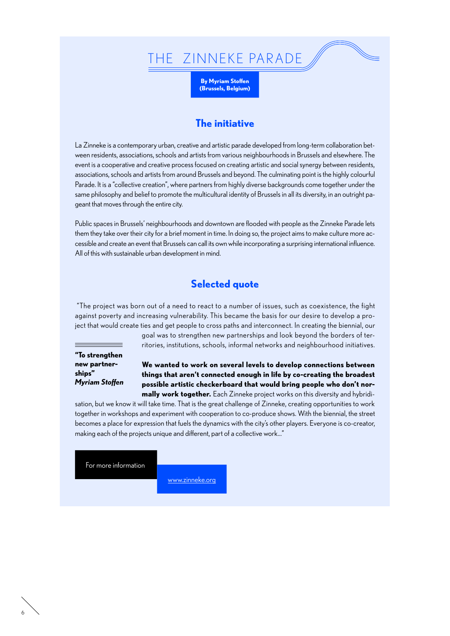## THE ZINNEKE PARADE

**By Myriam Stoffen (Brussels, Belgium)**

### **The initiative**

La Zinneke is a contemporary urban, creative and artistic parade developed from long-term collaboration between residents, associations, schools and artists from various neighbourhoods in Brussels and elsewhere. The event is a cooperative and creative process focused on creating artistic and social synergy between residents, associations, schools and artists from around Brussels and beyond. The culminating point is the highly colourful Parade. It is a "collective creation", where partners from highly diverse backgrounds come together under the same philosophy and belief to promote the multicultural identity of Brussels in all its diversity, in an outright pageant that moves through the entire city.

Public spaces in Brussels' neighbourhoods and downtown are flooded with people as the Zinneke Parade lets them they take over their city for a brief moment in time. In doing so, the project aims to make culture more accessible and create an event that Brussels can call its own while incorporating a surprising international influence. All of this with sustainable urban development in mind.

## **Selected quote**

 "The project was born out of a need to react to a number of issues, such as coexistence, the fight against poverty and increasing vulnerability. This became the basis for our desire to develop a project that would create ties and get people to cross paths and interconnect. In creating the biennial, our

**"To strengthen new partnerships"** *Myriam Stoffen* goal was to strengthen new partnerships and look beyond the borders of territories, institutions, schools, informal networks and neighbourhood initiatives.

**We wanted to work on several levels to develop connections between things that aren't connected enough in life by co-creating the broadest possible artistic checkerboard that would bring people who don't normally work together.** Each Zinneke project works on this diversity and hybridi-

sation, but we know it will take time. That is the great challenge of Zinneke, creating opportunities to work together in workshops and experiment with cooperation to co-produce shows. With the biennial, the street becomes a place for expression that fuels the dynamics with the city's other players. Everyone is co-creator, making each of the projects unique and different, part of a collective work…"

For more information

www.zinneke.org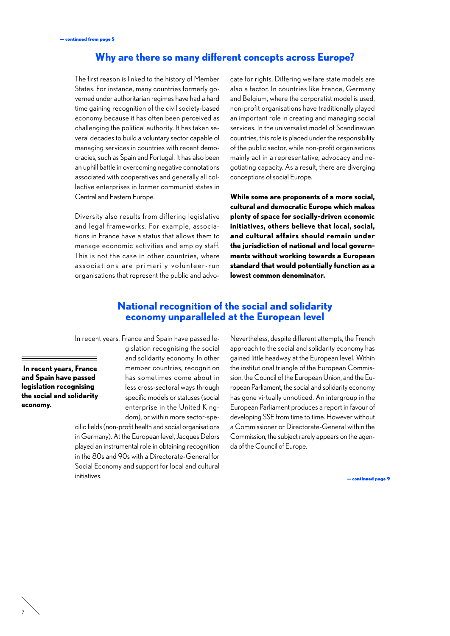### **Why are there so many different concepts across Europe?**

The first reason is linked to the history of Member States. For instance, many countries formerly governed under authoritarian regimes have had a hard time gaining recognition of the civil society-based economy because it has often been perceived as challenging the political authority. It has taken several decades to build a voluntary sector capable of managing services in countries with recent democracies, such as Spain and Portugal. It has also been an uphill battle in overcoming negative connotations associated with cooperatives and generally all collective enterprises in former communist states in Central and Eastern Europe.

Diversity also results from differing legislative and legal frameworks. For example, associations in France have a status that allows them to manage economic activities and employ staff. This is not the case in other countries, where associations are primarily volunteer-run organisations that represent the public and advocate for rights. Differing welfare state models are also a factor. In countries like France, Germany and Belgium, where the corporatist model is used, non-profit organisations have traditionally played an important role in creating and managing social services. In the universalist model of Scandinavian countries, this role is placed under the responsibility of the public sector, while non-profit organisations mainly act in a representative, advocacy and negotiating capacity. As a result, there are diverging conceptions of social Europe.

**While some are proponents of a more social, cultural and democratic Europe which makes plenty of space for socially-driven economic initiatives, others believe that local, social, and cultural affairs should remain under the jurisdiction of national and local governments without working towards a European standard that would potentially function as a lowest common denominator.**

### **National recognition of the social and solidarity economy unparalleled at the European level**

In recent years, France and Spain have passed le-

 **In recent years, France and Spain have passed legislation recognising the social and solidarity economy.** 

gislation recognising the social and solidarity economy. In other member countries, recognition has sometimes come about in less cross-sectoral ways through specific models or statuses (social enterprise in the United Kingdom), or within more sector-spe-

cific fields (non-profit health and social organisations in Germany). At the European level, Jacques Delors played an instrumental role in obtaining recognition in the 80s and 90s with a Directorate-General for Social Economy and support for local and cultural initiatives.

Nevertheless, despite different attempts, the French approach to the social and solidarity economy has gained little headway at the European level. Within the institutional triangle of the European Commission, the Council of the European Union, and the European Parliament, the social and solidarity economy has gone virtually unnoticed. An intergroup in the European Parliament produces a report in favour of developing SSE from time to time. However without a Commissioner or Directorate-General within the Commission, the subject rarely appears on the agenda of the Council of Europe.

— continued page 9

7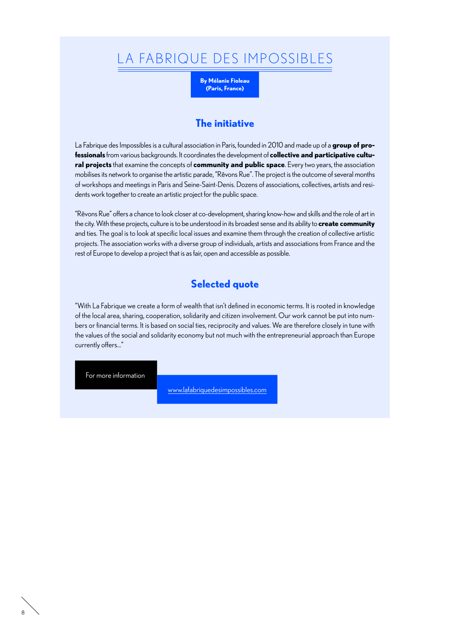## LA FABRIQUE DES IMPOSSIBLES

**By Mélanie Fioleau (Paris, France)**

### **The initiative**

La Fabrique des Impossibles is a cultural association in Paris, founded in 2010 and made up of a **group of professionals** from various backgrounds. It coordinates the development of **collective and participative cultural projects** that examine the concepts of **community and public space**. Every two years, the association mobilises its network to organise the artistic parade, "Rêvons Rue". The project is the outcome of several months of workshops and meetings in Paris and Seine-Saint-Denis. Dozens of associations, collectives, artists and residents work together to create an artistic project for the public space.

"Rêvons Rue" offers a chance to look closer at co-development, sharing know-how and skills and the role of art in the city. With these projects, culture is to be understood in its broadest sense and its ability to **create community** and ties. The goal is to look at specific local issues and examine them through the creation of collective artistic projects. The association works with a diverse group of individuals, artists and associations from France and the rest of Europe to develop a project that is as fair, open and accessible as possible.

## **Selected quote**

"With La Fabrique we create a form of wealth that isn't defined in economic terms. It is rooted in knowledge of the local area, sharing, cooperation, solidarity and citizen involvement. Our work cannot be put into numbers or financial terms. It is based on social ties, reciprocity and values. We are therefore closely in tune with the values of the social and solidarity economy but not much with the entrepreneurial approach than Europe currently offers…"

For more information

8

www.lafabriquedesimpossibles.com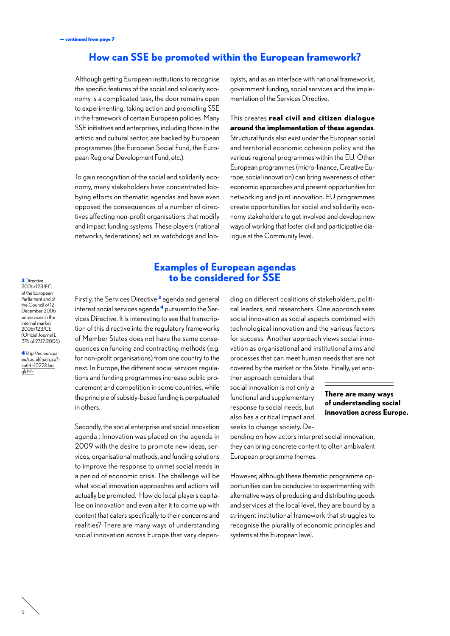### **How can SSE be promoted within the European framework?**

Although getting European institutions to recognise the specific features of the social and solidarity economy is a complicated task, the door remains open to experimenting, taking action and promoting SSE in the framework of certain European policies. Many SSE initiatives and enterprises, including those in the artistic and cultural sector, are backed by European programmes (the European Social Fund, the European Regional Development Fund, etc.).

To gain recognition of the social and solidarity economy, many stakeholders have concentrated lobbying efforts on thematic agendas and have even opposed the consequences of a number of directives affecting non-profit organisations that modify and impact funding systems. These players (national networks, federations) act as watchdogs and lobbyists, and as an interface with national frameworks, government funding, social services and the implementation of the Services Directive.

This creates **real civil and citizen dialogue around the implementation of these agendas**. Structural funds also exist under the European social and territorial economic cohesion policy and the various regional programmes within the EU. Other European programmes (micro-finance, Creative Europe, social innovation) can bring awareness of other economic approaches and present opportunities for networking and joint innovation. EU programmes create opportunities for social and solidarity economy stakeholders to get involved and develop new ways of working that foster civil and participative dialogue at the Community level.

### **Examples of European agendas to be considered for SSE**

Firstly, the Services Directive<sup>3</sup> agenda and general interest social services agenda<sup>4</sup> pursuant to the Services Directive. It is interesting to see that transcription of this directive into the regulatory frameworks of Member States does not have the same consequences on funding and contracting methods (e.g. for non-profit organisations) from one country to the next. In Europe, the different social services regulations and funding programmes increase public procurement and competition in some countries, while the principle of subsidy-based funding is perpetuated in others.

Secondly, the social enterprise and social innovation agenda : Innovation was placed on the agenda in 2009 with the desire to promote new ideas, services, organisational methods, and funding solutions to improve the response to unmet social needs in a period of economic crisis. The challenge will be what social innovation approaches and actions will actually be promoted. How do local players capitalise on innovation and even alter it to come up with content that caters specifically to their concerns and realities? There are many ways of understanding social innovation across Europe that vary depen-

ding on different coalitions of stakeholders, political leaders, and researchers. One approach sees social innovation as social aspects combined with technological innovation and the various factors for success. Another approach views social innovation as organisational and institutional aims and processes that can meet human needs that are not covered by the market or the State. Finally, yet ano-

ther approach considers that social innovation is not only a functional and supplementary response to social needs, but also has a critical impact and seeks to change society. De-

### **There are many ways of understanding social innovation across Europe.**

pending on how actors interpret social innovation, they can bring concrete content to often ambivalent European programme themes.

However, although these thematic programme opportunities can be conducive to experimenting with alternative ways of producing and distributing goods and services at the local level, they are bound by a stringent institutional framework that struggles to recognise the plurality of economic principles and systems at the European level.

**3** Directive 2006/123/EC of the European Parliament and of the Council of 12 December 2006 on services in the internal market 2006/123/CE (Official Journal L 376 of 27.12.2006)

4 http://ec.europa. eu/social/main.jsp? catId=1022&langId=fr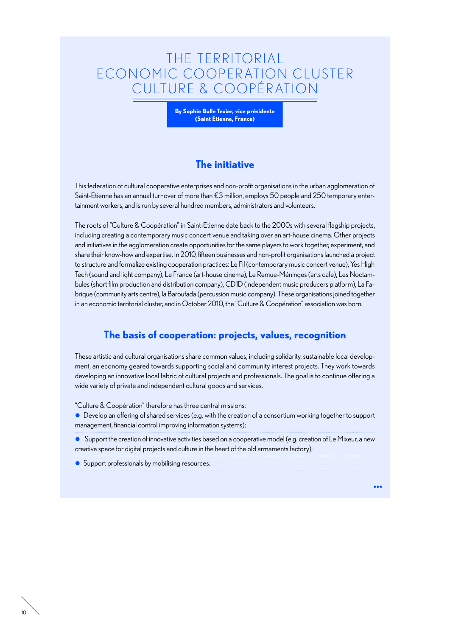## THE TERRITORIAL E CONOMIC COOPERATION CLUSTER CULTURE & COOPÉRATION

**By Sophie Bulle Texier, vice présidente (Saint Etienne, France)**

### **The initiative**

This federation of cultural cooperative enterprises and non-profit organisations in the urban agglomeration of Saint-Etienne has an annual turnover of more than €3 million, employs 50 people and 250 temporary entertainment workers, and is run by several hundred members, administrators and volunteers.

The roots of "Culture & Coopération" in Saint-Etienne date back to the 2000s with several flagship projects, including creating a contemporary music concert venue and taking over an art-house cinema. Other projects and initiatives in the agglomeration create opportunities for the same players to work together, experiment, and share their know-how and expertise. In 2010, fifteen businesses and non-profit organisations launched a project to structure and formalize existing cooperation practices: Le Fil (contemporary music concert venue), Yes High Tech (sound and light company), Le France (art-house cinema), Le Remue-Méninges (arts cafe), Les Noctambules (short film production and distribution company), CD1D (independent music producers platform), La Fabrique (community arts centre), la Baroufada (percussion music company). These organisations joined together in an economic territorial cluster, and in October 2010, the "Culture & Coopération" association was born.

### **The basis of cooperation: projects, values, recognition**

These artistic and cultural organisations share common values, including solidarity, sustainable local development, an economy geared towards supporting social and community interest projects. They work towards developing an innovative local fabric of cultural projects and professionals. The goal is to continue offering a wide variety of private and independent cultural goods and services.

"Culture & Coopération" therefore has three central missions:

• Develop an offering of shared services (e.g. with the creation of a consortium working together to support management, financial control improving information systems);

**•** Support the creation of innovative activities based on a cooperative model (e.g. creation of Le Mixeur, a new creative space for digital projects and culture in the heart of the old armaments factory);

• Support professionals by mobilising resources.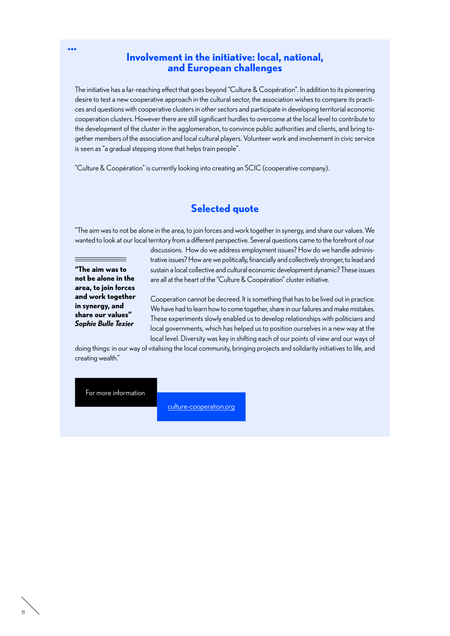### **Involvement in the initiative: local, national, and European challenges**

The initiative has a far-reaching effect that goes beyond "Culture & Coopération". In addition to its pioneering desire to test a new cooperative approach in the cultural sector, the association wishes to compare its practices and questions with cooperative clusters in other sectors and participate in developing territorial economic cooperation clusters. However there are still significant hurdles to overcome at the local level to contribute to the development of the cluster in the agglomeration, to convince public authorities and clients, and bring together members of the association and local cultural players. Volunteer work and involvement in civic service is seen as "a gradual stepping stone that helps train people".

"Culture & Coopération" is currently looking into creating an SCIC (cooperative company).

### **Selected quote**

"The aim was to not be alone in the area, to join forces and work together in synergy, and share our values. We wanted to look at our local territory from a different perspective. Several questions came to the forefront of our

**"The aim was to not be alone in the area, to join forces and work together in synergy, and share our values"** *Sophie Bulle Texier*

discussions. How do we address employment issues? How do we handle administrative issues? How are we politically, financially and collectively stronger, to lead and sustain a local collective and cultural economic development dynamic? These issues are all at the heart of the "Culture & Coopération" cluster initiative.

Cooperation cannot be decreed. It is something that has to be lived out in practice. We have had to learn how to come together, share in our failures and make mistakes. These experiments slowly enabled us to develop relationships with politicians and local governments, which has helped us to position ourselves in a new way at the local level. Diversity was key in shifting each of our points of view and our ways of

doing things: in our way of vitalising the local community, bringing projects and solidarity initiatives to life, and creating wealth."

For more information

11

culture-cooperation.org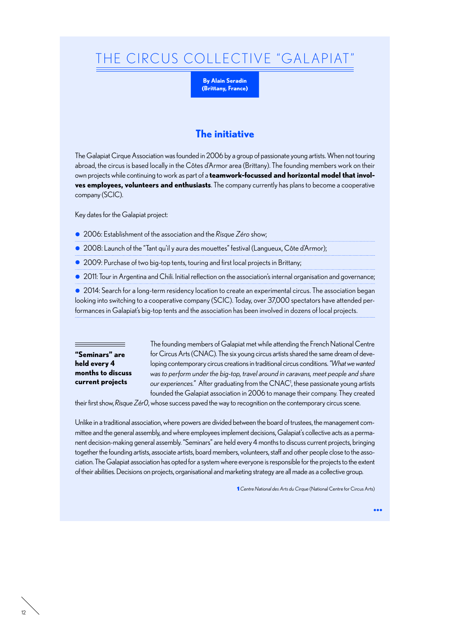## THE CIRCUS COLLECTIVE "GALAPIAT"

**By Alain Seradin (Brittany, France)** 

### **The initiative**

The Galapiat Cirque Association was founded in 2006 by a group of passionate young artists. When not touring abroad, the circus is based locally in the Côtes d'Armor area (Brittany). The founding members work on their own projects while continuing to work as part of a **teamwork-focussed and horizontal model that involves employees, volunteers and enthusiasts**. The company currently has plans to become a cooperative company (SCIC).

Key dates for the Galapiat project:

- 2006: Establishment of the association and the *Risque Zéro* show;
- 2008: Launch of the "Tant qu'il y aura des mouettes" festival (Langueux, Côte d'Armor);
- 2009: Purchase of two big-top tents, touring and first local projects in Brittany;
- 2011: Tour in Argentina and Chili. Initial reflection on the association's internal organisation and governance;

• 2014: Search for a long-term residency location to create an experimental circus. The association began looking into switching to a cooperative company (SCIC). Today, over 37,000 spectators have attended performances in Galapiat's big-top tents and the association has been involved in dozens of local projects.

**"Seminars" are held every 4 months to discuss current projects**

12

The founding members of Galapiat met while attending the French National Centre for Circus Arts (CNAC). The six young circus artists shared the same dream of developing contemporary circus creations in traditional circus conditions. *"What we wanted*  was to perform under the big-top, travel around in caravans, meet people and share *our experiences."* After graduating from the CNAC1 , these passionate young artists founded the Galapiat association in 2006 to manage their company. They created

their first show, *Risque Zér0*, whose success paved the way to recognition on the contemporary circus scene.

Unlike in a traditional association, where powers are divided between the board of trustees, the management committee and the general assembly, and where employees implement decisions, Galapiat's collective acts as a permanent decision-making general assembly. "Seminars" are held every 4 months to discuss current projects, bringing together the founding artists, associate artists, board members, volunteers, staff and other people close to the association. The Galapiat association has opted for a system where everyone is responsible for the projects to the extent of their abilities. Decisions on projects, organisational and marketing strategy are all made as a collective group.

1 *Centre National des Arts du Cirque* (National Centre for Circus Arts)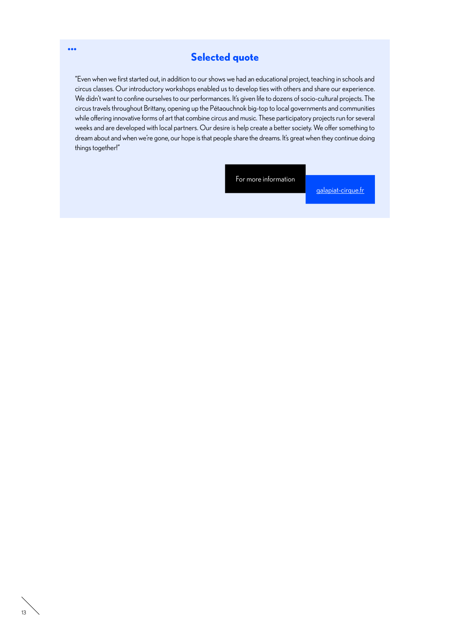## **Selected quote**

"Even when we first started out, in addition to our shows we had an educational project, teaching in schools and circus classes. Our introductory workshops enabled us to develop ties with others and share our experience. We didn't want to confine ourselves to our performances. It's given life to dozens of socio-cultural projects. The circus travels throughout Brittany, opening up the Pétaouchnok big-top to local governments and communities while offering innovative forms of art that combine circus and music. These participatory projects run for several weeks and are developed with local partners. Our desire is help create a better society. We offer something to dream about and when we're gone, our hope is that people share the dreams. It's great when they continue doing things together!"

For more information

galapiat-cirque.fr